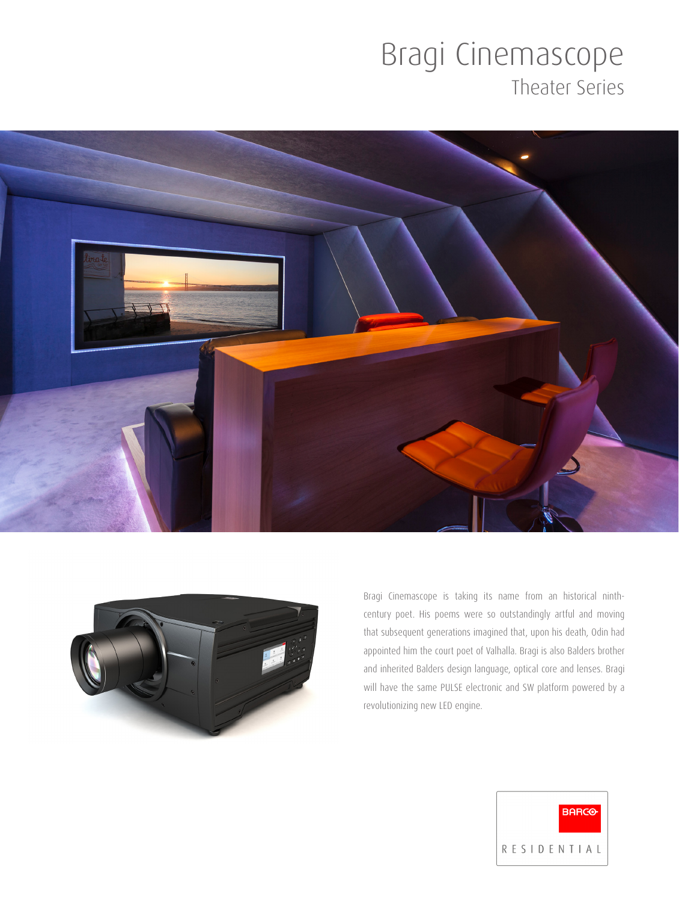## Bragi Cinemascope Theater Series





Bragi Cinemascope is taking its name from an historical ninthcentury poet. His poems were so outstandingly artful and moving that subsequent generations imagined that, upon his death, Odin had appointed him the court poet of Valhalla. Bragi is also Balders brother and inherited Balders design language, optical core and lenses. Bragi will have the same PULSE electronic and SW platform powered by a revolutionizing new LED engine.